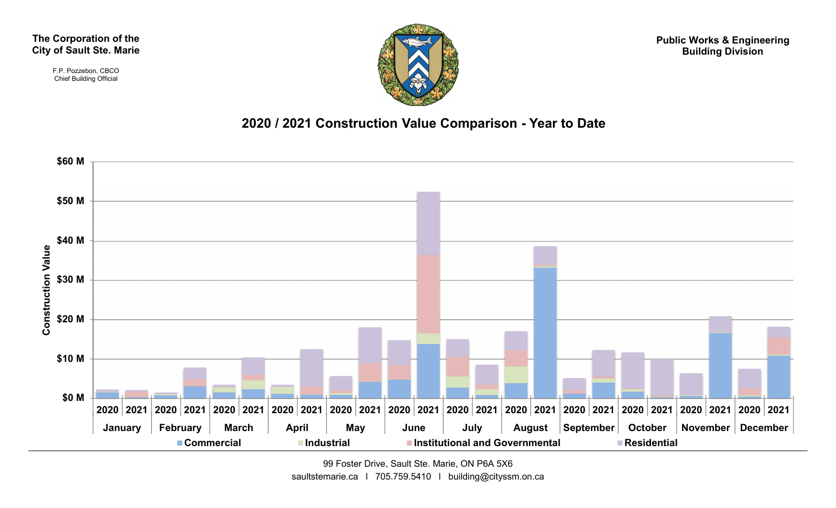The Corporation of the City of Sault Ste. Marie

> F.P. Pozzebon, CBCO Chief Building Official



Public Works & Engineering Building Division



99 Foster Drive, Sault Ste. Marie, ON P6A 5X6 saultstemarie.ca | 705.759.5410 | building@cityssm.on.ca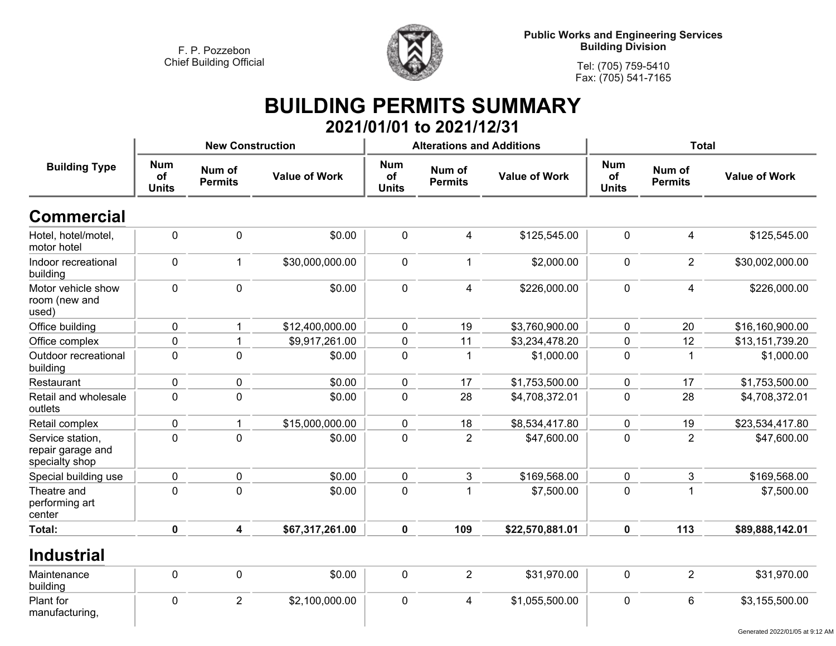

**Public Works and Engineering Services Building Division**

**Tel: (705) 759-5410 Fax: (705) 541-7165**

## **BUILDING PERMITS SUMMARY 2021/01/01 to 2021/12/31**

|                                                         |                                  | <b>New Construction</b>  |                      |                                  | <b>Alterations and Additions</b> |                      |                                  | <b>Total</b>             |                      |
|---------------------------------------------------------|----------------------------------|--------------------------|----------------------|----------------------------------|----------------------------------|----------------------|----------------------------------|--------------------------|----------------------|
| <b>Building Type</b>                                    | <b>Num</b><br>of<br><b>Units</b> | Num of<br><b>Permits</b> | <b>Value of Work</b> | <b>Num</b><br>of<br><b>Units</b> | Num of<br><b>Permits</b>         | <b>Value of Work</b> | <b>Num</b><br>of<br><b>Units</b> | Num of<br><b>Permits</b> | <b>Value of Work</b> |
| <b>Commercial</b>                                       |                                  |                          |                      |                                  |                                  |                      |                                  |                          |                      |
| Hotel, hotel/motel,<br>motor hotel                      | $\mathbf 0$                      | $\mathbf 0$              | \$0.00               | $\mathbf 0$                      | $\overline{4}$                   | \$125,545.00         | $\mathbf 0$                      | $\overline{4}$           | \$125,545.00         |
| Indoor recreational<br>building                         | $\mathbf 0$                      | $\mathbf{1}$             | \$30,000,000.00      | $\mathbf 0$                      | $\mathbf{1}$                     | \$2,000.00           | $\mathbf 0$                      | $\overline{2}$           | \$30,002,000.00      |
| Motor vehicle show<br>room (new and<br>used)            | $\mathbf 0$                      | $\mathbf 0$              | \$0.00               | $\mathbf 0$                      | $\overline{4}$                   | \$226,000.00         | $\mathbf 0$                      | $\overline{4}$           | \$226,000.00         |
| Office building                                         | $\mathbf 0$                      | 1                        | \$12,400,000.00      | $\mathbf 0$                      | 19                               | \$3,760,900.00       | $\mathbf 0$                      | 20                       | \$16,160,900.00      |
| Office complex                                          | $\mathbf 0$                      |                          | \$9,917,261.00       | $\mathbf 0$                      | 11                               | \$3,234,478.20       | $\mathbf 0$                      | 12                       | \$13,151,739.20      |
| Outdoor recreational<br>building                        | $\mathbf 0$                      | $\mathbf 0$              | \$0.00               | $\mathbf 0$                      | $\overline{1}$                   | \$1,000.00           | $\mathbf 0$                      | $\overline{1}$           | \$1,000.00           |
| Restaurant                                              | $\mathbf 0$                      | $\mathbf 0$              | \$0.00               | $\mathbf 0$                      | 17                               | \$1,753,500.00       | $\mathbf 0$                      | 17                       | \$1,753,500.00       |
| Retail and wholesale<br>outlets                         | $\mathbf 0$                      | $\overline{0}$           | \$0.00               | $\mathbf 0$                      | 28                               | \$4,708,372.01       | $\mathbf 0$                      | 28                       | \$4,708,372.01       |
| Retail complex                                          | $\mathbf 0$                      | $\blacktriangleleft$     | \$15,000,000.00      | $\mathbf 0$                      | 18                               | \$8,534,417.80       | $\mathbf 0$                      | 19                       | \$23,534,417.80      |
| Service station,<br>repair garage and<br>specialty shop | $\pmb{0}$                        | $\pmb{0}$                | \$0.00               | $\pmb{0}$                        | $\overline{2}$                   | \$47,600.00          | $\mathbf 0$                      | $\overline{2}$           | \$47,600.00          |
| Special building use                                    | $\mathbf 0$                      | $\mathbf 0$              | \$0.00               | $\mathbf 0$                      | 3                                | \$169,568.00         | $\mathbf 0$                      | 3                        | \$169,568.00         |
| Theatre and<br>performing art<br>center                 | $\mathbf 0$                      | $\mathbf 0$              | \$0.00               | $\mathbf 0$                      | $\overline{1}$                   | \$7,500.00           | $\mathbf 0$                      | $\overline{1}$           | \$7,500.00           |
| <b>Total:</b>                                           | $\mathbf 0$                      | $\overline{\mathbf{4}}$  | \$67,317,261.00      | $\mathbf 0$                      | 109                              | \$22,570,881.01      | $\mathbf 0$                      | 113                      | \$89,888,142.01      |
| <b>Industrial</b>                                       |                                  |                          |                      |                                  |                                  |                      |                                  |                          |                      |
| Maintenance<br>building                                 | 0                                | $\mathbf 0$              | \$0.00               | $\mathbf 0$                      | $\overline{2}$                   | \$31,970.00          | $\mathbf 0$                      | 2                        | \$31,970.00          |
| Plant for<br>manufacturing,                             | $\mathbf 0$                      | 2                        | \$2,100,000.00       | $\mathbf 0$                      | $\overline{4}$                   | \$1,055,500.00       | $\mathbf{0}$                     | $6\phantom{1}$           | \$3,155,500.00       |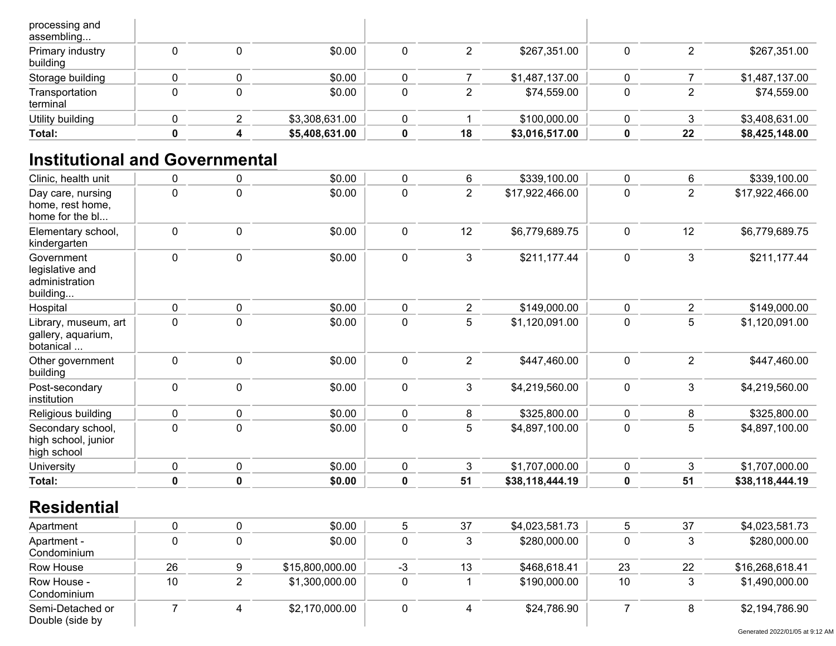| processing and<br>assembling |  |                |    |                |    |                |
|------------------------------|--|----------------|----|----------------|----|----------------|
| Primary industry<br>building |  | \$0.00         |    | \$267,351.00   |    | \$267,351.00   |
| Storage building             |  | \$0.00         |    | \$1,487,137.00 |    | \$1,487,137.00 |
| Transportation<br>terminal   |  | \$0.00         |    | \$74,559.00    |    | \$74,559.00    |
| Utility building             |  | \$3,308,631.00 |    | \$100,000.00   |    | \$3,408,631.00 |
| Total:                       |  | \$5,408,631.00 | 18 | \$3,016,517.00 | 22 | \$8,425,148.00 |

# **Institutional and Governmental**

| Clinic, health unit                                         | $\mathbf 0$ | 0           | \$0.00 | $\mathbf 0$ | 6              | \$339,100.00    | 0           | 6              | \$339,100.00    |
|-------------------------------------------------------------|-------------|-------------|--------|-------------|----------------|-----------------|-------------|----------------|-----------------|
| Day care, nursing<br>home, rest home,<br>home for the bl    | 0           | 0           | \$0.00 | $\pmb{0}$   | $\overline{2}$ | \$17,922,466.00 | $\pmb{0}$   | $\overline{2}$ | \$17,922,466.00 |
| Elementary school,<br>kindergarten                          | $\mathbf 0$ | 0           | \$0.00 | $\pmb{0}$   | 12             | \$6,779,689.75  | 0           | 12             | \$6,779,689.75  |
| Government<br>legislative and<br>administration<br>building | $\mathbf 0$ | 0           | \$0.00 | $\pmb{0}$   | 3              | \$211,177.44    | $\pmb{0}$   | $\mathbf{3}$   | \$211,177.44    |
| Hospital                                                    | $\mathbf 0$ | 0           | \$0.00 | $\mathbf 0$ | $\overline{2}$ | \$149,000.00    | 0           | $\overline{2}$ | \$149,000.00    |
| Library, museum, art<br>gallery, aquarium,<br>botanical     | 0           | 0           | \$0.00 | $\pmb{0}$   | 5              | \$1,120,091.00  | $\pmb{0}$   | 5              | \$1,120,091.00  |
| Other government<br>building                                | $\mathbf 0$ | 0           | \$0.00 | $\pmb{0}$   | $\overline{2}$ | \$447,460.00    | 0           | $\overline{2}$ | \$447,460.00    |
| Post-secondary<br>institution                               | $\mathbf 0$ | 0           | \$0.00 | $\mathbf 0$ | 3              | \$4,219,560.00  | $\pmb{0}$   | 3              | \$4,219,560.00  |
| Religious building                                          | $\mathbf 0$ | 0           | \$0.00 | $\mathbf 0$ | 8              | \$325,800.00    | 0           | 8              | \$325,800.00    |
| Secondary school,<br>high school, junior<br>high school     | $\mathbf 0$ | $\mathbf 0$ | \$0.00 | $\mathbf 0$ | 5              | \$4,897,100.00  | $\mathbf 0$ | 5              | \$4,897,100.00  |
| University                                                  | $\mathbf 0$ | $\mathbf 0$ | \$0.00 | $\mathbf 0$ | 3              | \$1,707,000.00  | $\mathbf 0$ | 3              | \$1,707,000.00  |
| Total:                                                      | 0           | 0           | \$0.00 | $\pmb{0}$   | 51             | \$38,118,444.19 | $\pmb{0}$   | 51             | \$38,118,444.19 |

|    | \$0.00          |    | 37 | \$4,023,581.73 |    | 37 | \$4,023,581.73  |
|----|-----------------|----|----|----------------|----|----|-----------------|
|    | \$0.00          |    |    | \$280,000.00   |    |    | \$280,000.00    |
| 26 | \$15,800,000.00 | -3 | 13 | \$468,618.41   | 23 | 22 | \$16,268,618.41 |
| 10 | \$1,300,000.00  |    |    | \$190,000.00   | 10 |    | \$1,490,000.00  |
|    | \$2,170,000.00  |    | 4  | \$24,786.90    |    |    | \$2,194,786.90  |
|    |                 |    |    |                |    |    |                 |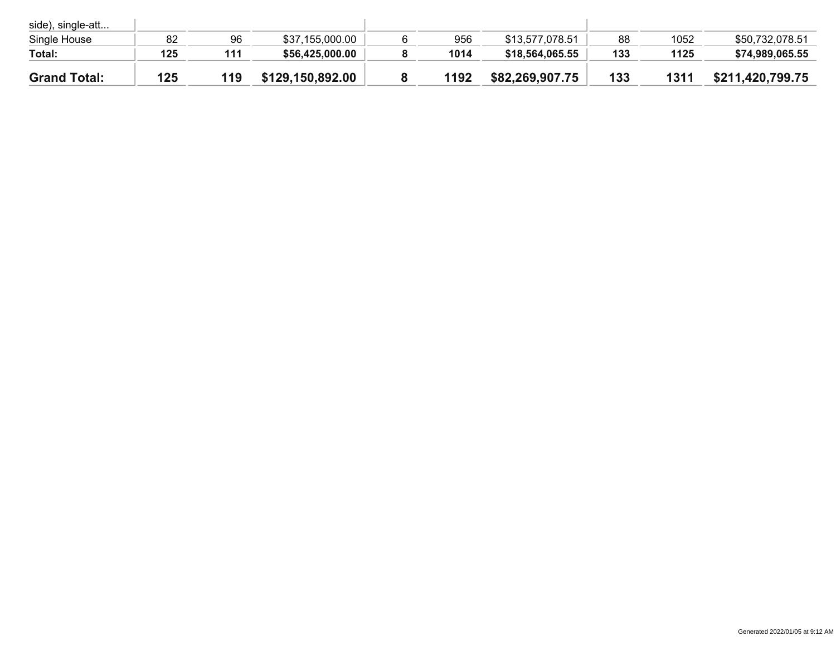| side), single-att   |     |     |                  |      |                 |     |      |                  |
|---------------------|-----|-----|------------------|------|-----------------|-----|------|------------------|
| Single House        | 82  | 96  | \$37,155,000.00  | 956  | \$13,577,078.51 | 88  | 1052 | \$50,732,078.51  |
| Total:              | 125 | 111 | \$56,425,000.00  | 1014 | \$18,564,065.55 | 133 | 1125 | \$74,989,065.55  |
| <b>Grand Total:</b> | 125 | 119 | \$129,150,892.00 | 1192 | \$82,269,907.75 | 133 | 1311 | \$211,420,799.75 |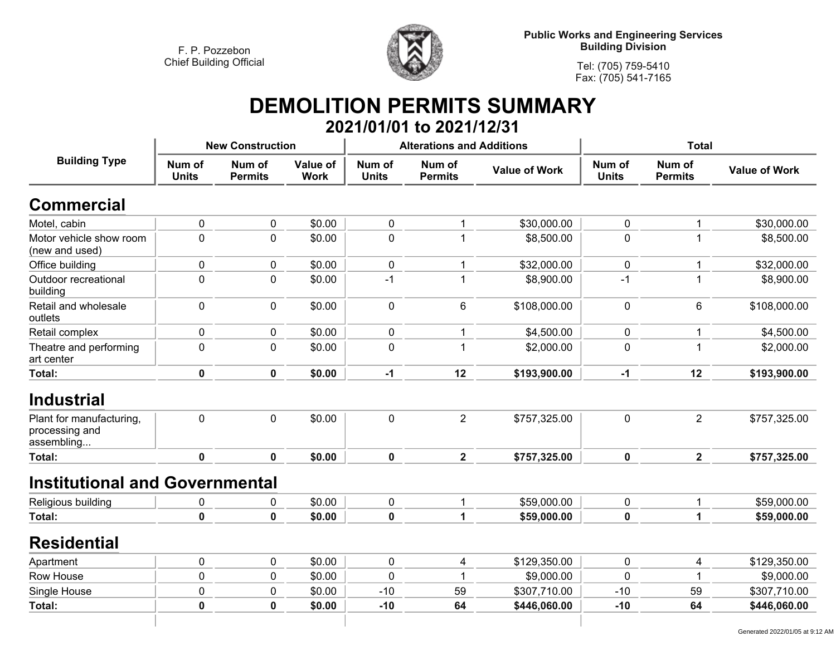

**Public Works and Engineering Services Building Division**

**Tel: (705) 759-5410 Fax: (705) 541-7165**

## **DEMOLITION PERMITS SUMMARY 2021/01/01 to 2021/12/31**

|                                                          |                        | <b>New Construction</b>  |                         |                        | <b>Alterations and Additions</b> |                      |                        | <b>Total</b>             |                      |  |
|----------------------------------------------------------|------------------------|--------------------------|-------------------------|------------------------|----------------------------------|----------------------|------------------------|--------------------------|----------------------|--|
| <b>Building Type</b>                                     | Num of<br><b>Units</b> | Num of<br><b>Permits</b> | Value of<br><b>Work</b> | Num of<br><b>Units</b> | Num of<br><b>Permits</b>         | <b>Value of Work</b> | Num of<br><b>Units</b> | Num of<br><b>Permits</b> | <b>Value of Work</b> |  |
| <b>Commercial</b>                                        |                        |                          |                         |                        |                                  |                      |                        |                          |                      |  |
| Motel, cabin                                             | $\pmb{0}$              | $\pmb{0}$                | \$0.00                  | $\mathbf 0$            | $\mathbf 1$                      | \$30,000.00          | 0                      | 1                        | \$30,000.00          |  |
| Motor vehicle show room<br>(new and used)                | $\mathbf 0$            | $\mathbf 0$              | \$0.00                  | $\mathbf 0$            | 1                                | \$8,500.00           | 0                      |                          | \$8,500.00           |  |
| Office building                                          | $\pmb{0}$              | $\mathbf 0$              | \$0.00                  | $\mathbf 0$            | $\mathbf 1$                      | \$32,000.00          | 0                      | $\mathbf 1$              | \$32,000.00          |  |
| Outdoor recreational<br>building                         | $\mathbf 0$            | $\mathbf 0$              | \$0.00                  | $-1$                   | $\mathbf{1}$                     | \$8,900.00           | $-1$                   |                          | \$8,900.00           |  |
| Retail and wholesale<br>outlets                          | $\pmb{0}$              | $\mathbf 0$              | \$0.00                  | $\mathbf 0$            | 6                                | \$108,000.00         | 0                      | 6                        | \$108,000.00         |  |
| Retail complex                                           | $\pmb{0}$              | $\mathbf 0$              | \$0.00                  | $\mathbf 0$            | $\mathbf 1$                      | \$4,500.00           | 0                      | 1                        | \$4,500.00           |  |
| Theatre and performing<br>art center                     | $\mathbf 0$            | $\mathbf 0$              | \$0.00                  | $\mathbf 0$            | 1                                | \$2,000.00           | 0                      |                          | \$2,000.00           |  |
| Total:                                                   | $\pmb{0}$              | 0                        | \$0.00                  | $-1$                   | 12                               | \$193,900.00         | $-1$                   | 12                       | \$193,900.00         |  |
| <b>Industrial</b>                                        |                        |                          |                         |                        |                                  |                      |                        |                          |                      |  |
| Plant for manufacturing,<br>processing and<br>assembling | $\pmb{0}$              | $\mathbf 0$              | \$0.00                  | $\pmb{0}$              | $\overline{2}$                   | \$757,325.00         | 0                      | $\overline{2}$           | \$757,325.00         |  |
| Total:                                                   | $\mathbf 0$            | $\mathbf 0$              | \$0.00                  | $\mathbf 0$            | $\overline{2}$                   | \$757,325.00         | $\mathbf 0$            | $\mathbf{2}$             | \$757,325.00         |  |
| <b>Institutional and Governmental</b>                    |                        |                          |                         |                        |                                  |                      |                        |                          |                      |  |
| Religious building                                       | 0                      | $\mathbf 0$              | \$0.00                  | $\pmb{0}$              | $\mathbf{1}$                     | \$59,000.00          | 0                      | 1                        | \$59,000.00          |  |
| Total:                                                   | $\mathbf 0$            | 0                        | \$0.00                  | 0                      | $\mathbf 1$                      | \$59,000.00          | 0                      | 1                        | \$59,000.00          |  |
| <b>Residential</b>                                       |                        |                          |                         |                        |                                  |                      |                        |                          |                      |  |
| Apartment                                                | $\pmb{0}$              | 0                        | \$0.00                  | $\pmb{0}$              | 4                                | \$129,350.00         | 0                      | 4                        | \$129,350.00         |  |
| Row House                                                | $\mathbf 0$            | $\mathbf 0$              | \$0.00                  | $\mathbf 0$            |                                  | \$9,000.00           | $\overline{0}$         |                          | \$9,000.00           |  |
| Single House                                             | $\pmb{0}$              | $\pmb{0}$                | \$0.00                  | $-10$                  | 59                               | \$307,710.00         | $-10$                  | 59                       | \$307,710.00         |  |
| Total:                                                   | $\mathbf 0$            | 0                        | \$0.00                  | $-10$                  | 64                               | \$446,060.00         | $-10$                  | 64                       | \$446,060.00         |  |
|                                                          |                        |                          |                         |                        |                                  |                      |                        |                          |                      |  |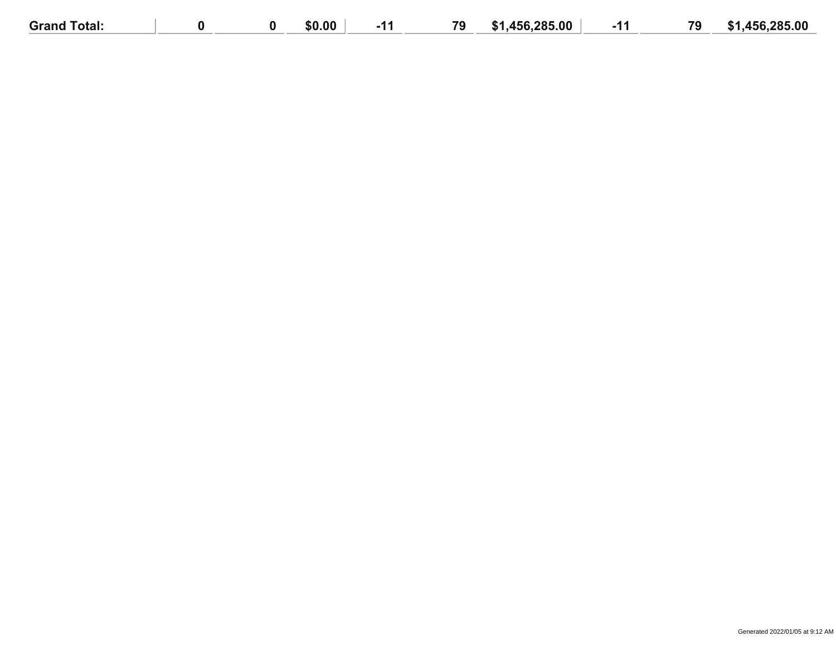| <b>Grand Total:</b> |  | \$0.00 | 79 | .456.285.00<br><b>S1</b> | 79 | .456.285.00<br><b>TA</b><br>- 50 |
|---------------------|--|--------|----|--------------------------|----|----------------------------------|
|                     |  |        |    |                          |    |                                  |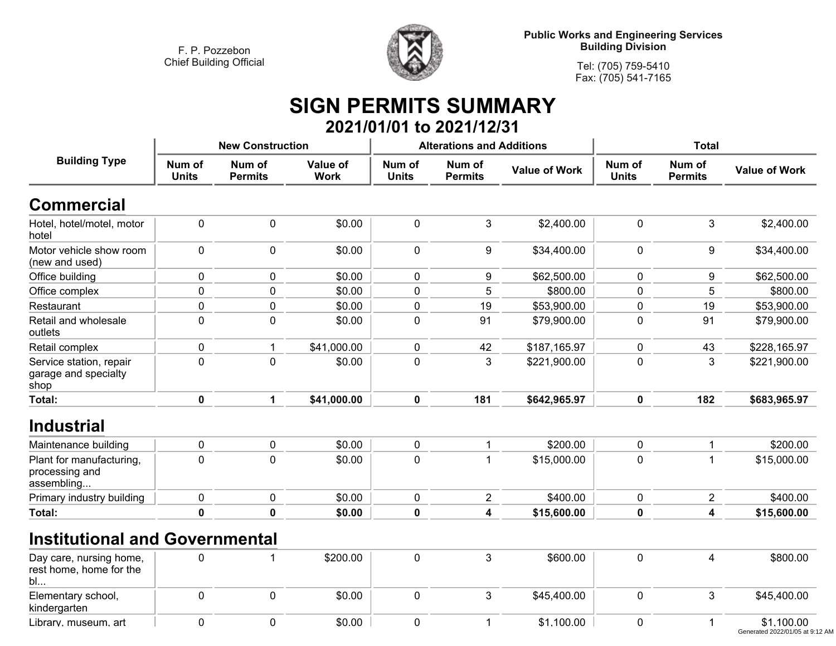

**Public Works and Engineering Services Building Division**

**Tel: (705) 759-5410 Fax: (705) 541-7165**

# **SIGN PERMITS SUMMARY 2021/01/01 to 2021/12/31**

|                                                          |                        | <b>New Construction</b>  |                                |                        | <b>Alterations and Additions</b> |                      |                        | <b>Total</b>             |                      |
|----------------------------------------------------------|------------------------|--------------------------|--------------------------------|------------------------|----------------------------------|----------------------|------------------------|--------------------------|----------------------|
| <b>Building Type</b>                                     | Num of<br><b>Units</b> | Num of<br><b>Permits</b> | <b>Value of</b><br><b>Work</b> | Num of<br><b>Units</b> | Num of<br><b>Permits</b>         | <b>Value of Work</b> | Num of<br><b>Units</b> | Num of<br><b>Permits</b> | <b>Value of Work</b> |
| <b>Commercial</b>                                        |                        |                          |                                |                        |                                  |                      |                        |                          |                      |
| Hotel, hotel/motel, motor<br>hotel                       | $\pmb{0}$              | $\pmb{0}$                | \$0.00                         | 0                      | 3                                | \$2,400.00           | $\pmb{0}$              | 3                        | \$2,400.00           |
| Motor vehicle show room<br>(new and used)                | $\mathbf 0$            | 0                        | \$0.00                         | 0                      | 9                                | \$34,400.00          | $\mathbf 0$            | 9                        | \$34,400.00          |
| Office building                                          | 0                      | 0                        | \$0.00                         | 0                      | 9                                | \$62,500.00          | $\pmb{0}$              | 9                        | \$62,500.00          |
| Office complex                                           | 0                      | 0                        | \$0.00                         | 0                      | 5                                | \$800.00             | $\mathbf 0$            | 5                        | \$800.00             |
| Restaurant                                               | 0                      | 0                        | \$0.00                         | 0                      | 19                               | \$53,900.00          | 0                      | 19                       | \$53,900.00          |
| Retail and wholesale<br>outlets                          | $\pmb{0}$              | 0                        | \$0.00                         | 0                      | 91                               | \$79,900.00          | $\pmb{0}$              | 91                       | \$79,900.00          |
| Retail complex                                           | 0                      |                          | \$41,000.00                    | 0                      | 42                               | \$187,165.97         | 0                      | 43                       | \$228,165.97         |
| Service station, repair<br>garage and specialty<br>shop  | $\mathbf 0$            | 0                        | \$0.00                         | 0                      | 3                                | \$221,900.00         | $\pmb{0}$              | 3                        | \$221,900.00         |
| Total:                                                   | $\mathbf 0$            | 1                        | \$41,000.00                    | $\mathbf 0$            | 181                              | \$642,965.97         | $\mathbf 0$            | 182                      | \$683,965.97         |
| <b>Industrial</b>                                        |                        |                          |                                |                        |                                  |                      |                        |                          |                      |
| Maintenance building                                     | $\pmb{0}$              | 0                        | \$0.00                         | 0                      | 1                                | \$200.00             | 0                      |                          | \$200.00             |
| Plant for manufacturing,<br>processing and<br>assembling | $\mathbf 0$            | $\Omega$                 | \$0.00                         | $\mathbf 0$            |                                  | \$15,000.00          | $\mathbf 0$            |                          | \$15,000.00          |
| Primary industry building                                | $\pmb{0}$              | 0                        | \$0.00                         | 0                      | $\mathbf{2}$                     | \$400.00             | $\pmb{0}$              | $\overline{2}$           | \$400.00             |
| Total:                                                   | 0                      | 0                        | \$0.00                         | 0                      | 4                                | \$15,600.00          | $\mathbf 0$            | 4                        | \$15,600.00          |

## **Institutional and Governmental**

| Day care, nursing home,<br>rest home, home for the<br>bl |  | \$200.00 |  | \$600.00    |  | \$800.00                                      |
|----------------------------------------------------------|--|----------|--|-------------|--|-----------------------------------------------|
| Elementary school,<br>kindergarten                       |  | \$0.00   |  | \$45,400.00 |  | \$45,400.00                                   |
| Library, museum, art                                     |  | \$0.00   |  | \$1,100.00  |  | \$1,100.00<br>Generated 2022/01/05 at 9:12 AM |